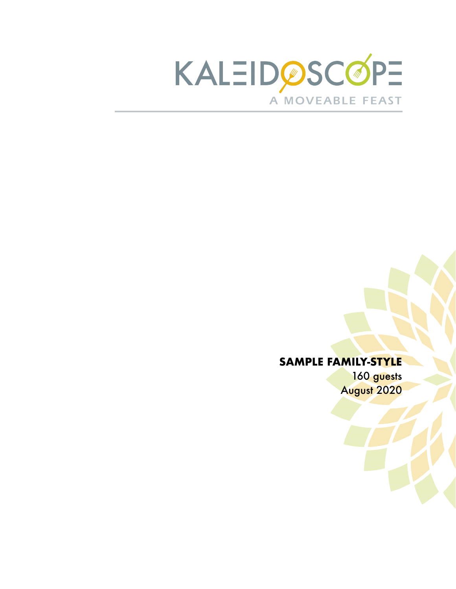

160 guests August 2020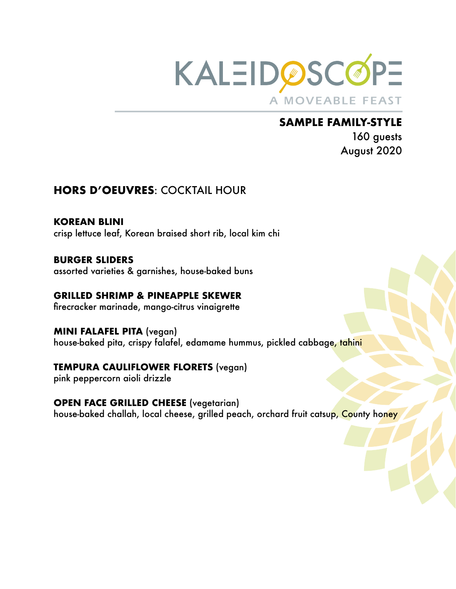

160 guests August 2020

# **HORS D'OEUVRES**: COCKTAIL HOUR

**KOREAN BLINI** crisp lettuce leaf, Korean braised short rib, local kim chi

**BURGER SLIDERS** assorted varieties & garnishes, house-baked buns

**GRILLED SHRIMP & PINEAPPLE SKEWER**  firecracker marinade, mango-citrus vinaigrette

**MINI FALAFEL PITA** (vegan) house-baked pita, crispy falafel, edamame hummus, pickled cabbage, tahini

## **TEMPURA CAULIFLOWER FLORETS** (vegan)

pink peppercorn aioli drizzle

**OPEN FACE GRILLED CHEESE** (vegetarian) house-baked challah, local cheese, grilled peach, orchard fruit catsup, County honey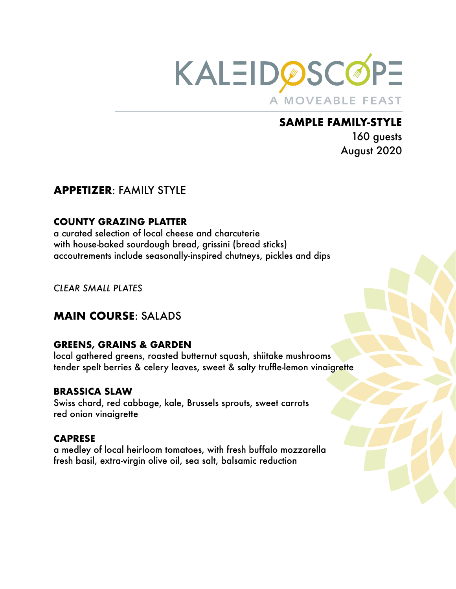

160 guests August 2020

## **APPETIZER**: FAMILY STYLE

#### **COUNTY GRAZING PLATTER**

a curated selection of local cheese and charcuterie with house-baked sourdough bread, grissini (bread sticks) accoutrements include seasonally-inspired chutneys, pickles and dips

*CLEAR SMALL PLATES* 

# **MAIN COURSE**: SALADS

#### **GREENS, GRAINS & GARDEN**

local gathered greens, roasted butternut squash, shiitake mushrooms tender spelt berries & celery leaves, sweet & salty truffle-lemon vinaigrette

#### **BRASSICA SLAW**

Swiss chard, red cabbage, kale, Brussels sprouts, sweet carrots red onion vinaigrette

#### **CAPRESE**

a medley of local heirloom tomatoes, with fresh buffalo mozzarella fresh basil, extra-virgin olive oil, sea salt, balsamic reduction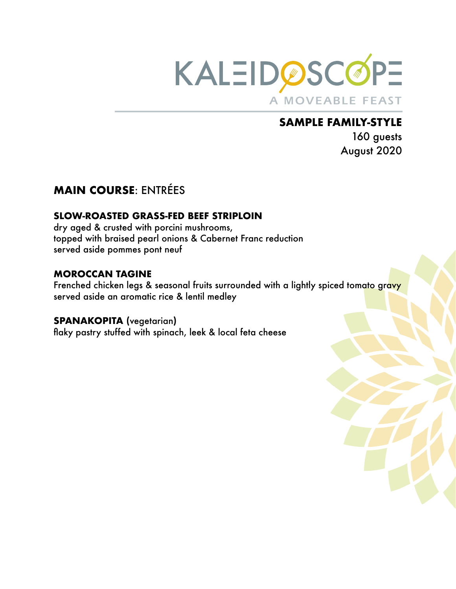

160 guests August 2020

# **MAIN COURSE**: ENTRÉES

#### **SLOW-ROASTED GRASS-FED BEEF STRIPLOIN**

dry aged & crusted with porcini mushrooms, topped with braised pearl onions & Cabernet Franc reduction served aside pommes pont neuf

#### **MOROCCAN TAGINE**

Frenched chicken legs & seasonal fruits surrounded with a lightly spiced tomato gravy served aside an aromatic rice & lentil medley

#### **SPANAKOPITA (**vegetarian**)**

flaky pastry stuffed with spinach, leek & local feta cheese